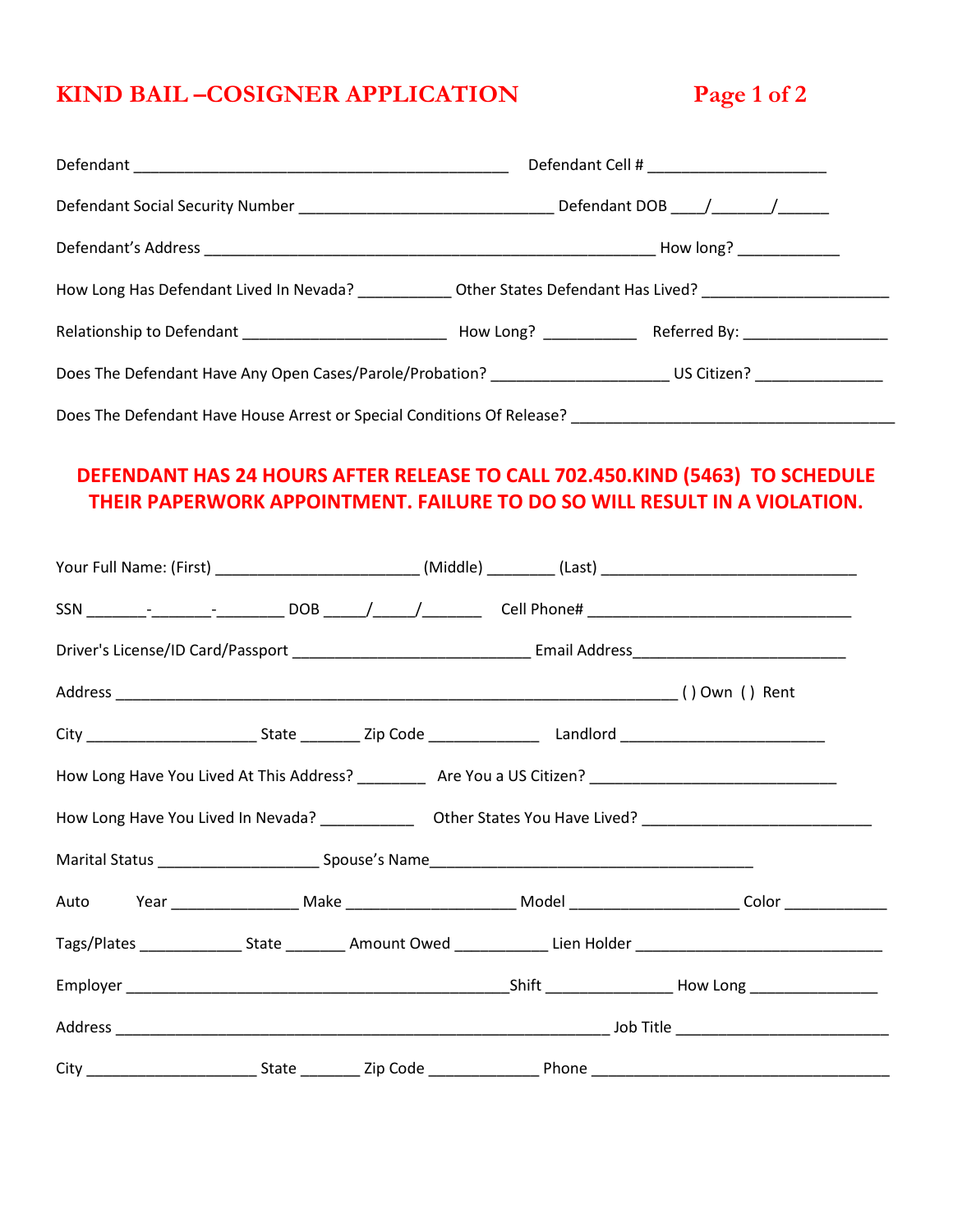# **KIND BAIL –COSIGNER APPLICATION Page 1 of 2**

| How Long Has Defendant Lived In Nevada? _____________ Other States Defendant Has Lived? ______________________ |  |  |  |
|----------------------------------------------------------------------------------------------------------------|--|--|--|
|                                                                                                                |  |  |  |
| Does The Defendant Have Any Open Cases/Parole/Probation? __________________________US Citizen? _______________ |  |  |  |
| Does The Defendant Have House Arrest or Special Conditions Of Release? _____________________________           |  |  |  |

### **DEFENDANT HAS 24 HOURS AFTER RELEASE TO CALL 702.450.KIND (5463) TO SCHEDULE THEIR PAPERWORK APPOINTMENT. FAILURE TO DO SO WILL RESULT IN A VIOLATION.**

|  |  | Your Full Name: (First) _____________________________(Middle) _________(Last) ________________________________       |
|--|--|----------------------------------------------------------------------------------------------------------------------|
|  |  |                                                                                                                      |
|  |  |                                                                                                                      |
|  |  |                                                                                                                      |
|  |  |                                                                                                                      |
|  |  | How Long Have You Lived At This Address? ____________ Are You a US Citizen? __________________________________       |
|  |  |                                                                                                                      |
|  |  |                                                                                                                      |
|  |  |                                                                                                                      |
|  |  | Tags/Plates _________________State ___________ Amount Owed ______________Lien Holder _______________________________ |
|  |  |                                                                                                                      |
|  |  |                                                                                                                      |
|  |  |                                                                                                                      |